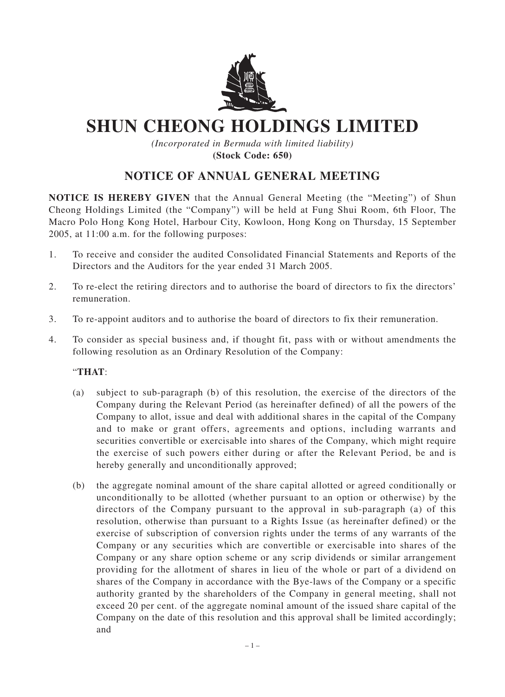

## **SHUN CHEONG HOLDINGS LIMITED**

*(Incorporated in Bermuda with limited liability)* **(Stock Code: 650)**

## **NOTICE OF ANNUAL GENERAL MEETING**

**NOTICE IS HEREBY GIVEN** that the Annual General Meeting (the "Meeting") of Shun Cheong Holdings Limited (the "Company") will be held at Fung Shui Room, 6th Floor, The Macro Polo Hong Kong Hotel, Harbour City, Kowloon, Hong Kong on Thursday, 15 September 2005, at 11:00 a.m. for the following purposes:

- 1. To receive and consider the audited Consolidated Financial Statements and Reports of the Directors and the Auditors for the year ended 31 March 2005.
- 2. To re-elect the retiring directors and to authorise the board of directors to fix the directors' remuneration.
- 3. To re-appoint auditors and to authorise the board of directors to fix their remuneration.
- 4. To consider as special business and, if thought fit, pass with or without amendments the following resolution as an Ordinary Resolution of the Company:

## "**THAT**:

- (a) subject to sub-paragraph (b) of this resolution, the exercise of the directors of the Company during the Relevant Period (as hereinafter defined) of all the powers of the Company to allot, issue and deal with additional shares in the capital of the Company and to make or grant offers, agreements and options, including warrants and securities convertible or exercisable into shares of the Company, which might require the exercise of such powers either during or after the Relevant Period, be and is hereby generally and unconditionally approved;
- (b) the aggregate nominal amount of the share capital allotted or agreed conditionally or unconditionally to be allotted (whether pursuant to an option or otherwise) by the directors of the Company pursuant to the approval in sub-paragraph (a) of this resolution, otherwise than pursuant to a Rights Issue (as hereinafter defined) or the exercise of subscription of conversion rights under the terms of any warrants of the Company or any securities which are convertible or exercisable into shares of the Company or any share option scheme or any scrip dividends or similar arrangement providing for the allotment of shares in lieu of the whole or part of a dividend on shares of the Company in accordance with the Bye-laws of the Company or a specific authority granted by the shareholders of the Company in general meeting, shall not exceed 20 per cent. of the aggregate nominal amount of the issued share capital of the Company on the date of this resolution and this approval shall be limited accordingly; and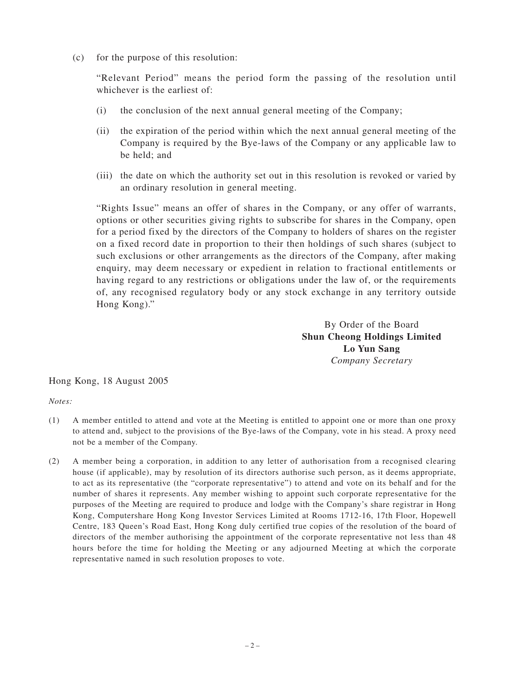(c) for the purpose of this resolution:

"Relevant Period" means the period form the passing of the resolution until whichever is the earliest of:

- (i) the conclusion of the next annual general meeting of the Company;
- (ii) the expiration of the period within which the next annual general meeting of the Company is required by the Bye-laws of the Company or any applicable law to be held; and
- (iii) the date on which the authority set out in this resolution is revoked or varied by an ordinary resolution in general meeting.

"Rights Issue" means an offer of shares in the Company, or any offer of warrants, options or other securities giving rights to subscribe for shares in the Company, open for a period fixed by the directors of the Company to holders of shares on the register on a fixed record date in proportion to their then holdings of such shares (subject to such exclusions or other arrangements as the directors of the Company, after making enquiry, may deem necessary or expedient in relation to fractional entitlements or having regard to any restrictions or obligations under the law of, or the requirements of, any recognised regulatory body or any stock exchange in any territory outside Hong Kong)."

> By Order of the Board **Shun Cheong Holdings Limited Lo Yun Sang** *Company Secretary*

Hong Kong, 18 August 2005

*Notes:*

- (1) A member entitled to attend and vote at the Meeting is entitled to appoint one or more than one proxy to attend and, subject to the provisions of the Bye-laws of the Company, vote in his stead. A proxy need not be a member of the Company.
- (2) A member being a corporation, in addition to any letter of authorisation from a recognised clearing house (if applicable), may by resolution of its directors authorise such person, as it deems appropriate, to act as its representative (the "corporate representative") to attend and vote on its behalf and for the number of shares it represents. Any member wishing to appoint such corporate representative for the purposes of the Meeting are required to produce and lodge with the Company's share registrar in Hong Kong, Computershare Hong Kong Investor Services Limited at Rooms 1712-16, 17th Floor, Hopewell Centre, 183 Queen's Road East, Hong Kong duly certified true copies of the resolution of the board of directors of the member authorising the appointment of the corporate representative not less than 48 hours before the time for holding the Meeting or any adjourned Meeting at which the corporate representative named in such resolution proposes to vote.